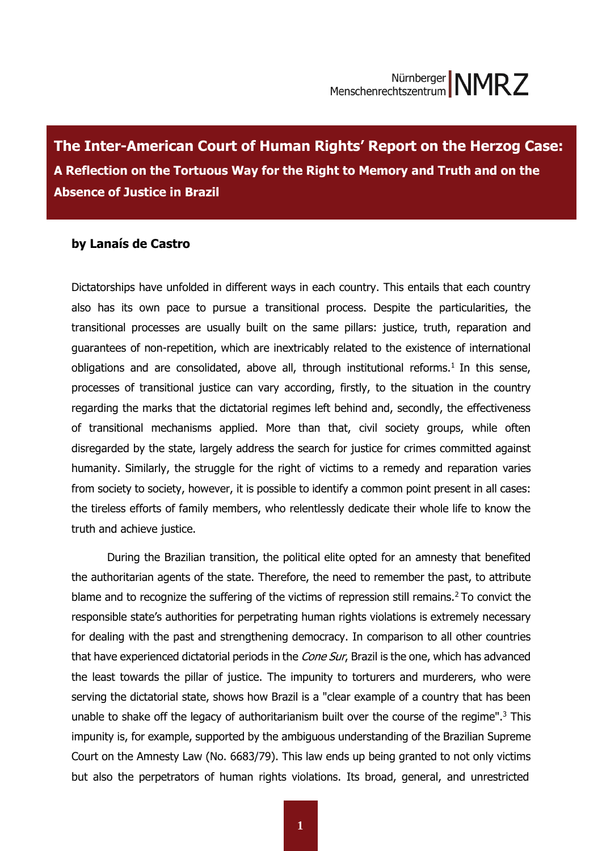**The Inter-American Court of Human Rights' Report on the Herzog Case:** A Reflection on the Tortuous Way for the Right to Memory and Truth and on the **the Absence of Justice in Brazil Absence of Justice in Brazil The Inter-American Court of Human Rights' Report on the Herzog Case:** 

# **by Lanaís de Castro**

Dictatorships have unfolded in different ways in each country. This entails that each country also has its own pace to pursue a transitional process. Despite the particularities, the transitional processes are usually built on the same pillars: justice, truth, reparation and guarantees of non-repetition, which are inextricably related to the existence of international obligations and are consolidated, above all, through institutional reforms.<sup>1</sup> In this sense, processes of transitional justice can vary according, firstly, to the situation in the country regarding the marks that the dictatorial regimes left behind and, secondly, the effectiveness of transitional mechanisms applied. More than that, civil society groups, while often disregarded by the state, largely address the search for justice for crimes committed against humanity. Similarly, the struggle for the right of victims to a remedy and reparation varies from society to society, however, it is possible to identify a common point present in all cases: the tireless efforts of family members, who relentlessly dedicate their whole life to know the truth and achieve justice.

During the Brazilian transition, the political elite opted for an amnesty that benefited the authoritarian agents of the state. Therefore, the need to remember the past, to attribute blame and to recognize the suffering of the victims of repression still remains.<sup>2</sup> To convict the responsible state's authorities for perpetrating human rights violations is extremely necessary for dealing with the past and strengthening democracy. In comparison to all other countries that have experienced dictatorial periods in the Cone Sur, Brazil is the one, which has advanced the least towards the pillar of justice. The impunity to torturers and murderers, who were serving the dictatorial state, shows how Brazil is a "clear example of a country that has been unable to shake off the legacy of authoritarianism built over the course of the regime".<sup>3</sup> This impunity is, for example, supported by the ambiguous understanding of the Brazilian Supreme Court on the Amnesty Law (No. 6683/79). This law ends up being granted to not only victims but also the perpetrators of human rights violations. Its broad, general, and unrestricted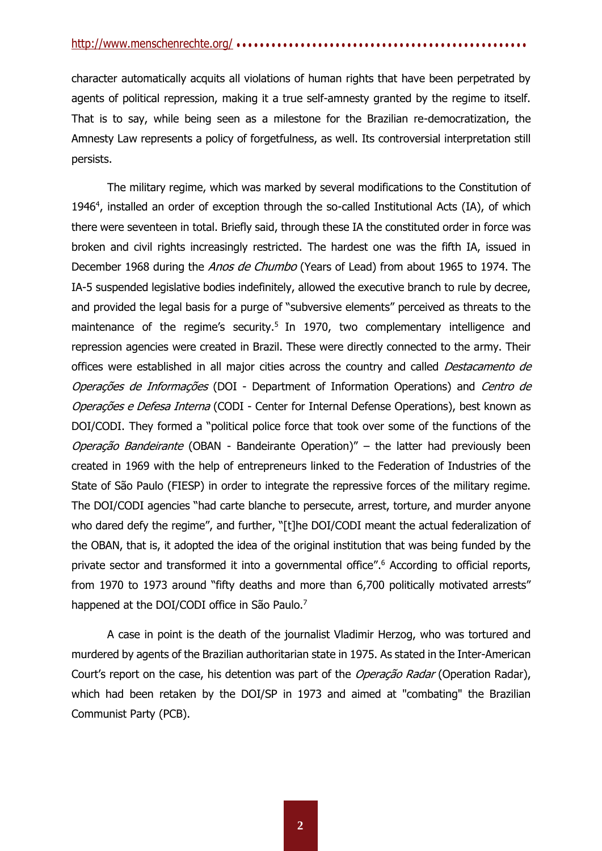character automatically acquits all violations of human rights that have been perpetrated by agents of political repression, making it a true self-amnesty granted by the regime to itself. That is to say, while being seen as a milestone for the Brazilian re-democratization, the Amnesty Law represents a policy of forgetfulness, as well. Its controversial interpretation still persists.

The military regime, which was marked by several modifications to the Constitution of 1946<sup>4</sup>, installed an order of exception through the so-called Institutional Acts (IA), of which there were seventeen in total. Briefly said, through these IA the constituted order in force was broken and civil rights increasingly restricted. The hardest one was the fifth IA, issued in December 1968 during the *Anos de Chumbo* (Years of Lead) from about 1965 to 1974. The IA-5 suspended legislative bodies indefinitely, allowed the executive branch to rule by decree, and provided the legal basis for a purge of "subversive elements" perceived as threats to the maintenance of the regime's security.<sup>5</sup> In 1970, two complementary intelligence and repression agencies were created in Brazil. These were directly connected to the army. Their offices were established in all major cities across the country and called Destacamento de Operações de Informações (DOI - Department of Information Operations) and Centro de Operações e Defesa Interna (CODI - Center for Internal Defense Operations), best known as DOI/CODI. They formed a "political police force that took over some of the functions of the Operação Bandeirante (OBAN - Bandeirante Operation)" – the latter had previously been created in 1969 with the help of entrepreneurs linked to the Federation of Industries of the State of São Paulo (FIESP) in order to integrate the repressive forces of the military regime. The DOI/CODI agencies "had carte blanche to persecute, arrest, torture, and murder anyone who dared defy the regime", and further, "[t]he DOI/CODI meant the actual federalization of the OBAN, that is, it adopted the idea of the original institution that was being funded by the private sector and transformed it into a governmental office". <sup>6</sup> According to official reports, from 1970 to 1973 around "fifty deaths and more than 6,700 politically motivated arrests" happened at the DOI/CODI office in São Paulo.<sup>7</sup>

A case in point is the death of the journalist Vladimir Herzog, who was tortured and murdered by agents of the Brazilian authoritarian state in 1975. As stated in the Inter-American Court's report on the case, his detention was part of the *Operação Radar* (Operation Radar), which had been retaken by the DOI/SP in 1973 and aimed at "combating" the Brazilian Communist Party (PCB).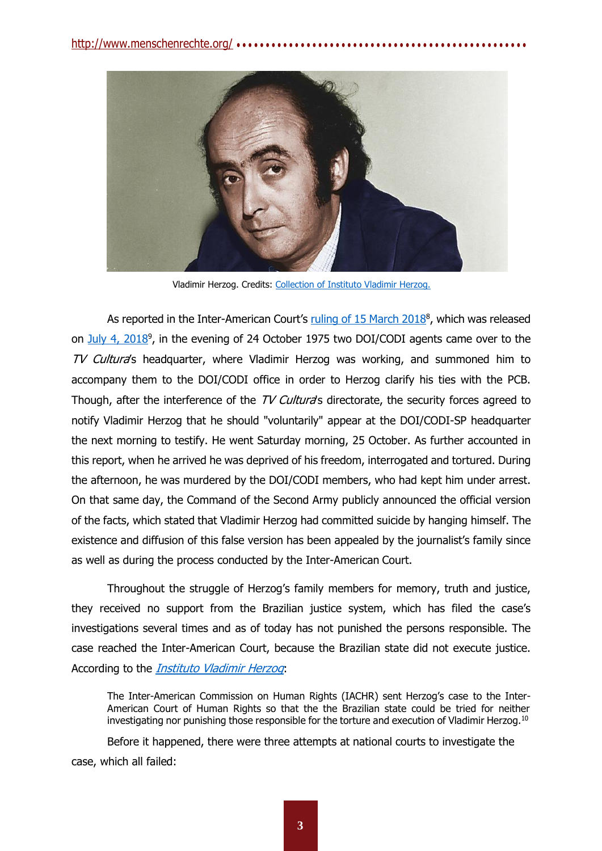

Vladimir Herzog. Credits: [Collection of Instituto Vladimir Herzog.](http://vladimirherzog.org/o-instituto/)

As reported in the Inter-American Court's ruling of 15 [March](http://www.corteidh.or.cr/docs/casos/articulos/seriec_353_esp.pdf) 2018<sup>8</sup>, which was released on [July 4, 2018](http://www.corteidh.or.cr/docs/comunicados/cp_25_18.pdf)<sup>9</sup>, in the evening of 24 October 1975 two DOI/CODI agents came over to the TV Cultura's headquarter, where Vladimir Herzog was working, and summoned him to accompany them to the DOI/CODI office in order to Herzog clarify his ties with the PCB. Though, after the interference of the TV Cultura's directorate, the security forces agreed to notify Vladimir Herzog that he should "voluntarily" appear at the DOI/CODI-SP headquarter the next morning to testify. He went Saturday morning, 25 October. As further accounted in this report, when he arrived he was deprived of his freedom, interrogated and tortured. During the afternoon, he was murdered by the DOI/CODI members, who had kept him under arrest. On that same day, the Command of the Second Army publicly announced the official version of the facts, which stated that Vladimir Herzog had committed suicide by hanging himself. The existence and diffusion of this false version has been appealed by the journalist's family since as well as during the process conducted by the Inter-American Court.

Throughout the struggle of Herzog's family members for memory, truth and justice, they received no support from the Brazilian justice system, which has filed the case's investigations several times and as of today has not punished the persons responsible. The case reached the Inter-American Court, because the Brazilian state did not execute justice. According to the *[Instituto Vladimir Herzog](http://vladimirherzog.org/casoherzog/)*:

The Inter-American Commission on Human Rights (IACHR) sent Herzog's case to the Inter-American Court of Human Rights so that the the Brazilian state could be tried for neither investigating nor punishing those responsible for the torture and execution of Vladimir Herzog.<sup>10</sup>

Before it happened, there were three attempts at national courts to investigate the case, which all failed: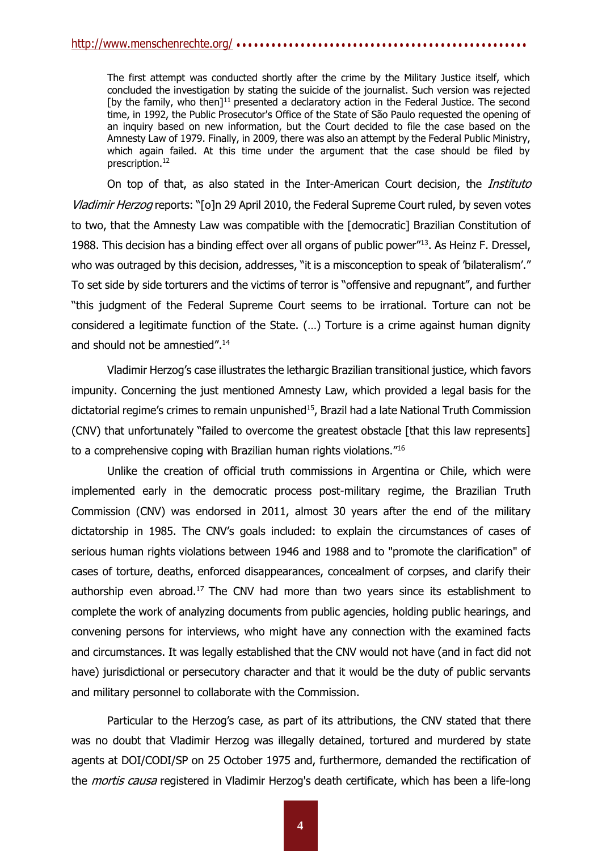The first attempt was conducted shortly after the crime by the Military Justice itself, which concluded the investigation by stating the suicide of the journalist. Such version was rejected [by the family, who then] $^{11}$  presented a declaratory action in the Federal Justice. The second time, in 1992, the Public Prosecutor's Office of the State of São Paulo requested the opening of an inquiry based on new information, but the Court decided to file the case based on the Amnesty Law of 1979. Finally, in 2009, there was also an attempt by the Federal Public Ministry, which again failed. At this time under the argument that the case should be filed by prescription.<sup>12</sup>

On top of that, as also stated in the Inter-American Court decision, the *Instituto* Vladimir Herzog reports: "[o]n 29 April 2010, the Federal Supreme Court ruled, by seven votes to two, that the Amnesty Law was compatible with the [democratic] Brazilian Constitution of 1988. This decision has a binding effect over all organs of public power<sup>"13</sup>. As Heinz F. Dressel, who was outraged by this decision, addresses, "it is a misconception to speak of 'bilateralism'." To set side by side torturers and the victims of terror is "offensive and repugnant", and further "this judgment of the Federal Supreme Court seems to be irrational. Torture can not be considered a legitimate function of the State. (…) Torture is a crime against human dignity and should not be amnestied".<sup>14</sup>

Vladimir Herzog's case illustrates the lethargic Brazilian transitional justice, which favors impunity. Concerning the just mentioned Amnesty Law, which provided a legal basis for the dictatorial regime's crimes to remain unpunished<sup>15</sup>, Brazil had a late National Truth Commission (CNV) that unfortunately "failed to overcome the greatest obstacle [that this law represents] to a comprehensive coping with Brazilian human rights violations."<sup>16</sup>

Unlike the creation of official truth commissions in Argentina or Chile, which were implemented early in the democratic process post-military regime, the Brazilian Truth Commission (CNV) was endorsed in 2011, almost 30 years after the end of the military dictatorship in 1985. The CNV's goals included: to explain the circumstances of cases of serious human rights violations between 1946 and 1988 and to "promote the clarification" of cases of torture, deaths, enforced disappearances, concealment of corpses, and clarify their authorship even abroad.<sup>17</sup> The CNV had more than two years since its establishment to complete the work of analyzing documents from public agencies, holding public hearings, and convening persons for interviews, who might have any connection with the examined facts and circumstances. It was legally established that the CNV would not have (and in fact did not have) jurisdictional or persecutory character and that it would be the duty of public servants and military personnel to collaborate with the Commission.

Particular to the Herzog's case, as part of its attributions, the CNV stated that there was no doubt that Vladimir Herzog was illegally detained, tortured and murdered by state agents at DOI/CODI/SP on 25 October 1975 and, furthermore, demanded the rectification of the *mortis causa* registered in Vladimir Herzog's death certificate, which has been a life-long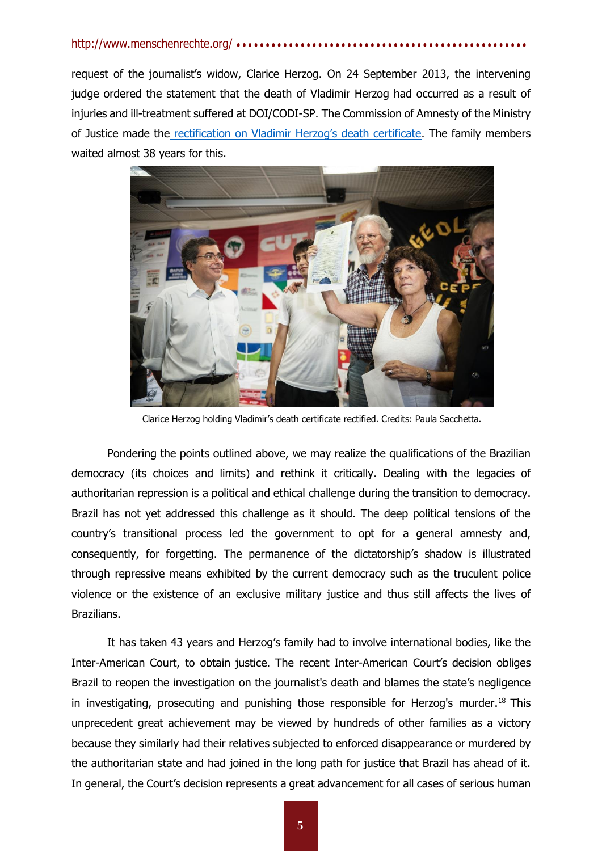# <http://www.menschenrechte.org/> ● ● ● ● ● ● ● ● ● ● ● ● ● ● ● ● ● ● ● ● ● ● ● ● ● ● ● ● ● ● ● ● ● ● ● ● ● ● ● ● ● ● ● ● ● ● ● ● ● ●

request of the journalist's widow, Clarice Herzog. On 24 September 2013, the intervening judge ordered the statement that the death of Vladimir Herzog had occurred as a result of injuries and ill-treatment suffered at DOI/CODI-SP. The Commission of Amnesty of the Ministry of Justice made the [rectification on Vladimir Herzog's death certificate](http://vladimirherzog.org/novo-atestado-de-obito/). The family members waited almost 38 years for this.



Clarice Herzog holding Vladimir's death certificate rectified. Credits: Paula Sacchetta.

Pondering the points outlined above, we may realize the qualifications of the Brazilian democracy (its choices and limits) and rethink it critically. Dealing with the legacies of authoritarian repression is a political and ethical challenge during the transition to democracy. Brazil has not yet addressed this challenge as it should. The deep political tensions of the country's transitional process led the government to opt for a general amnesty and, consequently, for forgetting. The permanence of the dictatorship's shadow is illustrated through repressive means exhibited by the current democracy such as the truculent police violence or the existence of an exclusive military justice and thus still affects the lives of Brazilians.

It has taken 43 years and Herzog's family had to involve international bodies, like the Inter-American Court, to obtain justice. The recent Inter-American Court's decision obliges Brazil to reopen the investigation on the journalist's death and blames the state's negligence in investigating, prosecuting and punishing those responsible for Herzog's murder.<sup>18</sup> This unprecedent great achievement may be viewed by hundreds of other families as a victory because they similarly had their relatives subjected to enforced disappearance or murdered by the authoritarian state and had joined in the long path for justice that Brazil has ahead of it. In general, the Court's decision represents a great advancement for all cases of serious human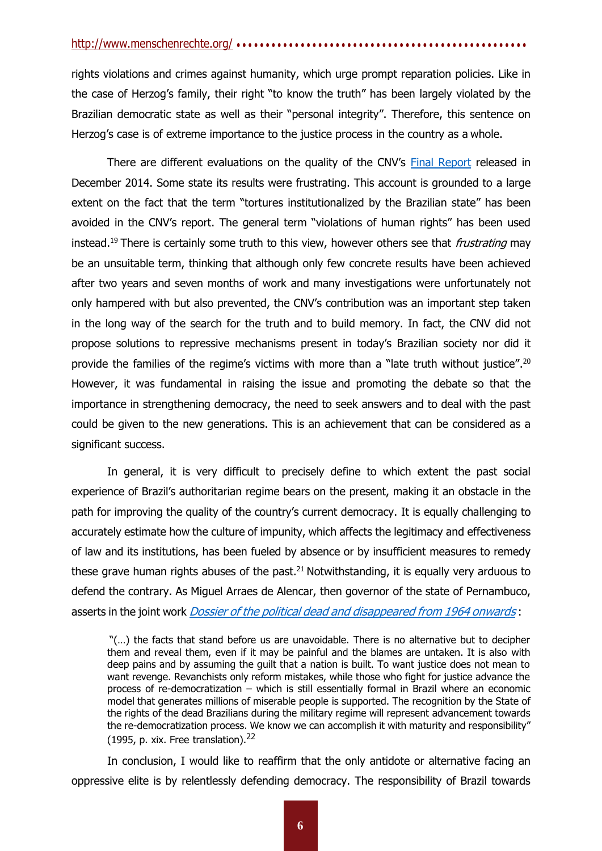### <http://www.menschenrechte.org/> ● ● ● ● ● ● ● ● ● ● ● ● ● ● ● ● ● ● ● ● ● ● ● ● ● ● ● ● ● ● ● ● ● ● ● ● ● ● ● ● ● ● ● ● ● ● ● ● ● ●

rights violations and crimes against humanity, which urge prompt reparation policies. Like in the case of Herzog's family, their right "to know the truth" has been largely violated by the Brazilian democratic state as well as their "personal integrity". Therefore, this sentence on Herzog's case is of extreme importance to the justice process in the country as a whole.

There are different evaluations on the quality of the CNV's [Final Report](http://cnv.memoriasreveladas.gov.br/index.php?option=com_content&view=article&id=571) released in December 2014. Some state its results were frustrating. This account is grounded to a large extent on the fact that the term "tortures institutionalized by the Brazilian state" has been avoided in the CNV's report. The general term "violations of human rights" has been used instead.<sup>19</sup> There is certainly some truth to this view, however others see that *frustrating* may be an unsuitable term, thinking that although only few concrete results have been achieved after two years and seven months of work and many investigations were unfortunately not only hampered with but also prevented, the CNV's contribution was an important step taken in the long way of the search for the truth and to build memory. In fact, the CNV did not propose solutions to repressive mechanisms present in today's Brazilian society nor did it provide the families of the regime's victims with more than a "late truth without justice".<sup>20</sup> However, it was fundamental in raising the issue and promoting the debate so that the importance in strengthening democracy, the need to seek answers and to deal with the past could be given to the new generations. This is an achievement that can be considered as a significant success.

In general, it is very difficult to precisely define to which extent the past social experience of Brazil's authoritarian regime bears on the present, making it an obstacle in the path for improving the quality of the country's current democracy. It is equally challenging to accurately estimate how the culture of impunity, which affects the legitimacy and effectiveness of law and its institutions, has been fueled by absence or by insufficient measures to remedy these grave human rights abuses of the past. $21$  Notwithstanding, it is equally very arduous to defend the contrary. As Miguel Arraes de Alencar, then governor of the state of Pernambuco, asserts in the joint work *Dossier of the political dead and [disappeared](http://www.dhnet.org.br/dados/dossiers/dh/br/dossie64/br/dossmdp.pdf) from 1964 onwards*:

"(…) the facts that stand before us are unavoidable. There is no alternative but to decipher them and reveal them, even if it may be painful and the blames are untaken. It is also with deep pains and by assuming the guilt that a nation is built. To want justice does not mean to want revenge. Revanchists only reform mistakes, while those who fight for justice advance the process of re-democratization – which is still essentially formal in Brazil where an economic model that generates millions of miserable people is supported. The recognition by the State of the rights of the dead Brazilians during the military regime will represent advancement towards the re-democratization process. We know we can accomplish it with maturity and responsibility" (1995, p. xix. Free translation). $^{22}$ 

In conclusion, I would like to reaffirm that the only antidote or alternative facing an oppressive elite is by relentlessly defending democracy. The responsibility of Brazil towards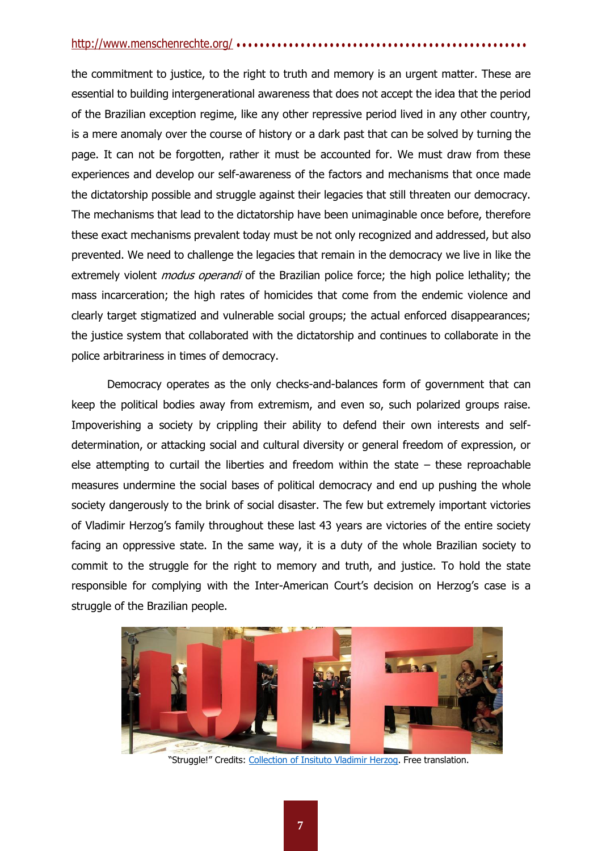## <http://www.menschenrechte.org/> ● ● ● ● ● ● ● ● ● ● ● ● ● ● ● ● ● ● ● ● ● ● ● ● ● ● ● ● ● ● ● ● ● ● ● ● ● ● ● ● ● ● ● ● ● ● ● ● ● ●

the commitment to justice, to the right to truth and memory is an urgent matter. These are essential to building intergenerational awareness that does not accept the idea that the period of the Brazilian exception regime, like any other repressive period lived in any other country, is a mere anomaly over the course of history or a dark past that can be solved by turning the page. It can not be forgotten, rather it must be accounted for. We must draw from these experiences and develop our self-awareness of the factors and mechanisms that once made the dictatorship possible and struggle against their legacies that still threaten our democracy. The mechanisms that lead to the dictatorship have been unimaginable once before, therefore these exact mechanisms prevalent today must be not only recognized and addressed, but also prevented. We need to challenge the legacies that remain in the democracy we live in like the extremely violent *modus operandi* of the Brazilian police force; the high police lethality; the mass incarceration; the high rates of homicides that come from the endemic violence and clearly target stigmatized and vulnerable social groups; the actual enforced disappearances; the justice system that collaborated with the dictatorship and continues to collaborate in the police arbitrariness in times of democracy.

Democracy operates as the only checks-and-balances form of government that can keep the political bodies away from extremism, and even so, such polarized groups raise. Impoverishing a society by crippling their ability to defend their own interests and selfdetermination, or attacking social and cultural diversity or general freedom of expression, or else attempting to curtail the liberties and freedom within the state – these reproachable measures undermine the social bases of political democracy and end up pushing the whole society dangerously to the brink of social disaster. The few but extremely important victories of Vladimir Herzog's family throughout these last 43 years are victories of the entire society facing an oppressive state. In the same way, it is a duty of the whole Brazilian society to commit to the struggle for the right to memory and truth, and justice. To hold the state responsible for complying with the Inter-American Court's decision on Herzog's case is a struggle of the Brazilian people.



"Struggle!" Credits: [Collection of Insituto Vladimir Herzog. F](http://vladimirherzog.org/casoherzog/)ree translation.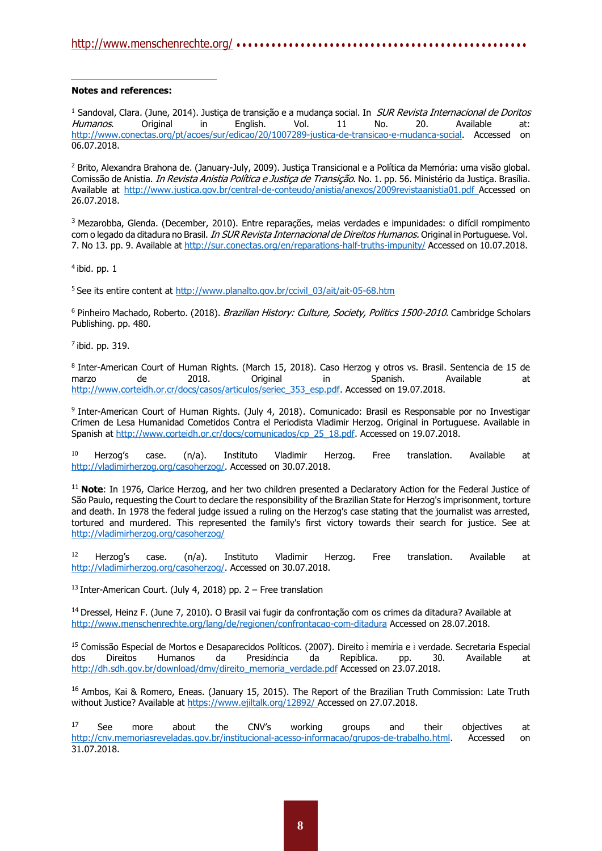#### **Notes and references:**

<sup>1</sup> Sandoval, Clara. (June, 2014). Justiça de transição e a mudança social. In SUR Revista Internacional de Doritos Humanos. Original in English. Vol. 11 No. 20. Available at: [http://www.conectas.org/pt/acoes/sur/edicao/20/1007289-justica-de-transicao-e-mudanca-social.](http://www.conectas.org/pt/acoes/sur/edicao/20/1007289-justica-de-transicao-e-mudanca-social) Accessed on 06.07.2018.

<sup>2</sup> Brito, Alexandra Brahona de. (January-July, 2009). Justiça Transicional e a Política da Memória: uma visão global. Comissão de Anistia. *In Revista Anistia Política e Justica de Transição*. No. 1. pp. 56. Ministério da Justica. Brasília. Available at<http://www.justica.gov.br/central-de-conteudo/anistia/anexos/2009revistaanistia01.pdf> Accessed on 26.07.2018.

<sup>3</sup> Mezarobba, Glenda. (December, 2010). Entre reparações, meias verdades e impunidades: o difícil rompimento com o legado da ditadura no Brasil. *In SUR Revista Internacional de Direitos Humanos.* Original in Portuguese. Vol. 7. No 13. pp. 9. Available at <http://sur.conectas.org/en/reparations-half-truths-impunity/> Accessed on 10.07.2018.

 $<sup>4</sup>$  ibid. pp. 1</sup>

<sup>5</sup> See its entire content at [http://www.planalto.gov.br/ccivil\\_03/ait/ait-05-68.htm](http://www.planalto.gov.br/ccivil_03/ait/ait-05-68.htm)

<sup>6</sup> Pinheiro Machado, Roberto. (2018). Brazilian History: Culture, Society, Politics 1500-2010. Cambridge Scholars Publishing. pp. 480.

 $<sup>7</sup>$  ibid. pp. 319.</sup>

8 Inter-American Court of Human Rights. (March 15, 2018). Caso Herzog y otros vs. Brasil. Sentencia de 15 de<br>marzo de 2018. Original in Spanish. Available at marzo de 2018. Original in Spanish. Available at [http://www.corteidh.or.cr/docs/casos/articulos/seriec\\_353\\_esp.pdf. A](http://www.corteidh.or.cr/docs/casos/articulos/seriec_353_esp.pdf)ccessed on 19.07.2018.

9 Inter-American Court of Human Rights. (July 4, 2018). Comunicado: Brasil es Responsable por no Investigar Crimen de Lesa Humanidad Cometidos Contra el Periodista Vladimir Herzog. Original in Portuguese. Available in Spanish at [http://www.corteidh.or.cr/docs/comunicados/cp\\_25\\_18.pdf. A](http://www.corteidh.or.cr/docs/comunicados/cp_25_18.pdf)ccessed on 19.07.2018.

<sup>10</sup> Herzog's case.  $(n/a)$ . Instituto Vladimir Herzog. Free translation. Available at [http://vladimirherzog.org/casoherzog/. A](http://vladimirherzog.org/casoherzog/)ccessed on 30.07.2018.

<sup>11</sup> Note: In 1976, Clarice Herzog, and her two children presented a Declaratory Action for the Federal Justice of São Paulo, requesting the Court to declare the responsibility of the Brazilian State for Herzog's imprisonment, torture and death. In 1978 the federal judge issued a ruling on the Herzog's case stating that the journalist was arrested, tortured and murdered. This represented the family's first victory towards their search for justice. See at <http://vladimirherzog.org/casoherzog/>

<sup>12</sup> Herzog's case.  $(n/a)$ . Instituto Vladimir Herzog. Free translation. Available at [http://vladimirherzog.org/casoherzog/. A](http://vladimirherzog.org/casoherzog/)ccessed on 30.07.2018.

 $13$  Inter-American Court. (July 4, 2018) pp. 2 – Free translation

<sup>14</sup> Dressel, Heinz F. (June 7, 2010). O Brasil vai fugir da confrontação com os crimes da ditadura? Available at <http://www.menschenrechte.org/lang/de/regionen/confrontacao-com-ditadura> Accessed on 28.07.2018.

<sup>15</sup> Comissão Especial de Mortos e Desaparecidos Políticos. (2007). Direito à memíria e à verdade. Secretaria Especial dos Direitos Humanos da Presidência da República. pp. 30. Available at [http://dh.sdh.gov.br/download/dmv/direito\\_memoria\\_verdade.pdf](http://dh.sdh.gov.br/download/dmv/direito_memoria_verdade.pdf) Accessed on 23.07.2018.

<sup>16</sup> Ambos, Kai & Romero, Eneas. (January 15, 2015). The Report of the Brazilian Truth Commission: Late Truth without Justice? Available at [https://www.ejiltalk.org/12892/ A](https://www.ejiltalk.org/12892/)ccessed on 27.07.2018.

<sup>17</sup> See more about the CNV's working groups and their objectives at [http://cnv.memoriasreveladas.gov.br/institucional-acesso-informacao/grupos-de-trabalho.html.](http://cnv.memoriasreveladas.gov.br/institucional-acesso-informacao/grupos-de-trabalho.html) Accessed on 31.07.2018.